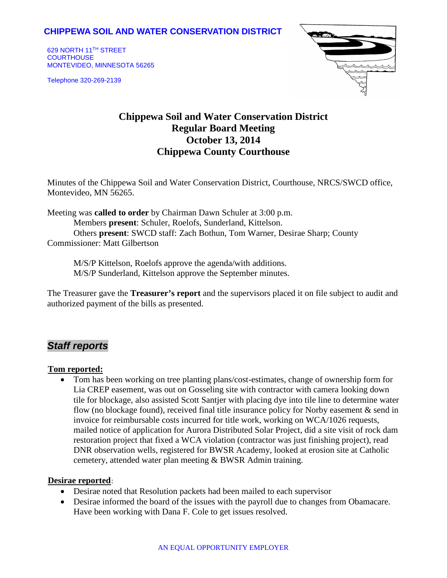## **CHIPPEWA SOIL AND WATER CONSERVATION DISTRICT**

629 NORTH 11TH STREET **COURTHOUSE** MONTEVIDEO, MINNESOTA 56265

Telephone 320-269-2139



# **Chippewa Soil and Water Conservation District Regular Board Meeting October 13, 2014 Chippewa County Courthouse**

Minutes of the Chippewa Soil and Water Conservation District, Courthouse, NRCS/SWCD office, Montevideo, MN 56265.

Meeting was **called to order** by Chairman Dawn Schuler at 3:00 p.m. Members **present**: Schuler, Roelofs, Sunderland, Kittelson. Others **present**: SWCD staff: Zach Bothun, Tom Warner, Desirae Sharp; County Commissioner: Matt Gilbertson

M/S/P Kittelson, Roelofs approve the agenda/with additions. M/S/P Sunderland, Kittelson approve the September minutes.

The Treasurer gave the **Treasurer's report** and the supervisors placed it on file subject to audit and authorized payment of the bills as presented.

## *Staff reports*

#### <sup>U</sup>**Tom reported:**

• Tom has been working on tree planting plans/cost-estimates, change of ownership form for Lia CREP easement, was out on Gosseling site with contractor with camera looking down tile for blockage, also assisted Scott Santjer with placing dye into tile line to determine water flow (no blockage found), received final title insurance policy for Norby easement & send in invoice for reimbursable costs incurred for title work, working on WCA/1026 requests, mailed notice of application for Aurora Distributed Solar Project, did a site visit of rock dam restoration project that fixed a WCA violation (contractor was just finishing project), read DNR observation wells, registered for BWSR Academy, looked at erosion site at Catholic cemetery, attended water plan meeting & BWSR Admin training.

#### **Desirae reported**:

- Desirae noted that Resolution packets had been mailed to each supervisor
- Desirae informed the board of the issues with the payroll due to changes from Obamacare. Have been working with Dana F. Cole to get issues resolved.